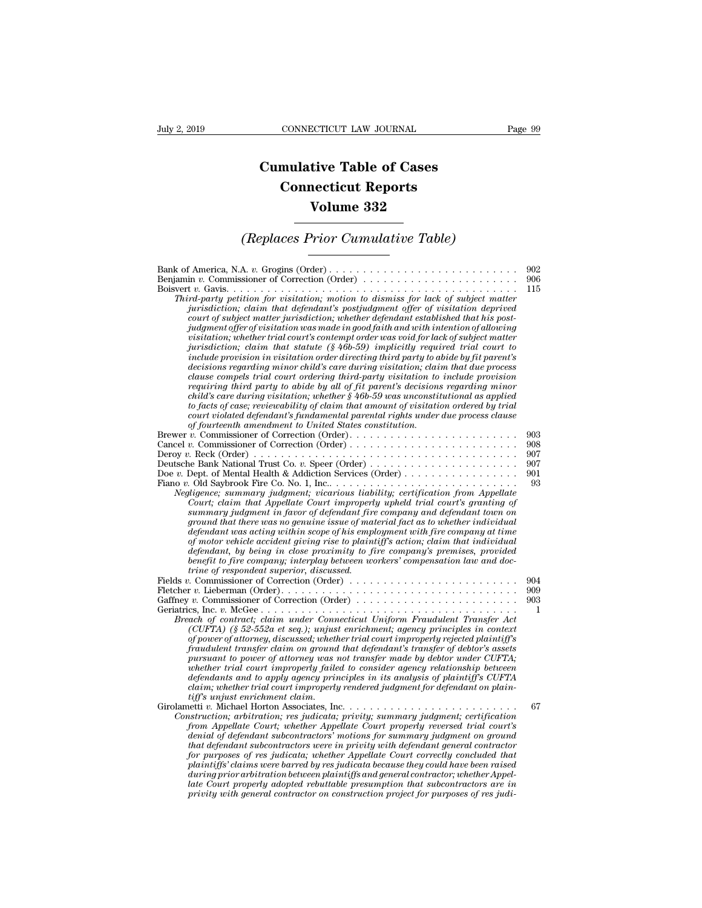## **CONNECTICUT LAW JOURNAL**<br> **Cumulative Table of Cases<br>
Connecticut Reports CONNECTICUT LAW JOURNAL**<br> **CONNECTICUT LAW JOURNAL**<br> **CONNECTICUT Reports<br>
Volume 332 ECTICUT LAW JOURNAL**<br> **Volume 332**<br> **Volume 332**<br> **Volume 332**<br> **Prior Cumulative Table) Cumulative Table of Cases<br>
Connecticut Reports<br>
Volume 332<br>
(Replaces Prior Cumulative Table)**

## *Third-party petition for visitation; motion to dismiss for lack of subject matter*

| Volume 332<br>(Replaces Prior Cumulative Table)                                                                                                                                                                                                                                                                                                                                                                                                                                                                                                                                                                                                                                                                                                                                                                                                                                         |                                       |
|-----------------------------------------------------------------------------------------------------------------------------------------------------------------------------------------------------------------------------------------------------------------------------------------------------------------------------------------------------------------------------------------------------------------------------------------------------------------------------------------------------------------------------------------------------------------------------------------------------------------------------------------------------------------------------------------------------------------------------------------------------------------------------------------------------------------------------------------------------------------------------------------|---------------------------------------|
|                                                                                                                                                                                                                                                                                                                                                                                                                                                                                                                                                                                                                                                                                                                                                                                                                                                                                         |                                       |
| Brewer v. Commissioner of Correction (Order)<br>Deutsche Bank National Trust Co. v. Speer (Order)<br>Doe v. Dept. of Mental Health & Addiction Services (Order)<br>Negligence; summary judgment; vicarious liability; certification from Appellate<br>Court; claim that Appellate Court improperly upheld trial court's granting of<br>summary judgment in favor of defendant fire company and defendant town on<br>ground that there was no genuine issue of material fact as to whether individual<br>defendant was acting within scope of his employment with fire company at time<br>of motor vehicle accident giving rise to plaintiff's action; claim that individual<br>defendant, by being in close proximity to fire company's premises, provided<br>benefit to fire company; interplay between workers' compensation law and doc-<br>trine of respondeat superior, discussed. | 903<br>908<br>907<br>907<br>901<br>93 |
| Fields v. Commissioner of Correction (Order) $\dots \dots \dots \dots \dots \dots \dots \dots \dots$<br>Gaffney v. Commissioner of Correction (Order)<br>Breach of contract; claim under Connecticut Uniform Fraudulent Transfer Act<br>(CUFTA) $(\xi 52-552a$ et seq.); unjust enrichment; agency principles in context<br>of power of attorney, discussed; whether trial court improperly rejected plaintiff's<br>fraudulent transfer claim on ground that defendant's transfer of debtor's assets<br>pursuant to power of attorney was not transfer made by debtor under CUFTA;<br>whether trial court improperly failed to consider agency relationship between<br>defendants and to apply agency principles in its analysis of plaintiff's CUFTA<br>claim; whether trial court improperly rendered judgment for defendant on plain-<br>tiff's unjust enrichment claim.             | 904<br>909<br>903<br>1                |
| Construction; arbitration; res judicata; privity; summary judgment; certification<br>from Appellate Court; whether Appellate Court properly reversed trial court's<br>denial of defendant subcontractors' motions for summary judgment on ground<br>that defendant subcontractors were in privity with defendant general contractor<br>for purposes of res judicata; whether Appellate Court correctly concluded that<br>plaintiffs' claims were barred by res judicata because they could have been raised<br>during prior arbitration between plaintiffs and general contractor; whether Appel-<br>late Court properly adopted rebuttable presumption that subcontractors are in<br>privity with general contractor on construction project for purposes of res judi-                                                                                                                 | 67                                    |